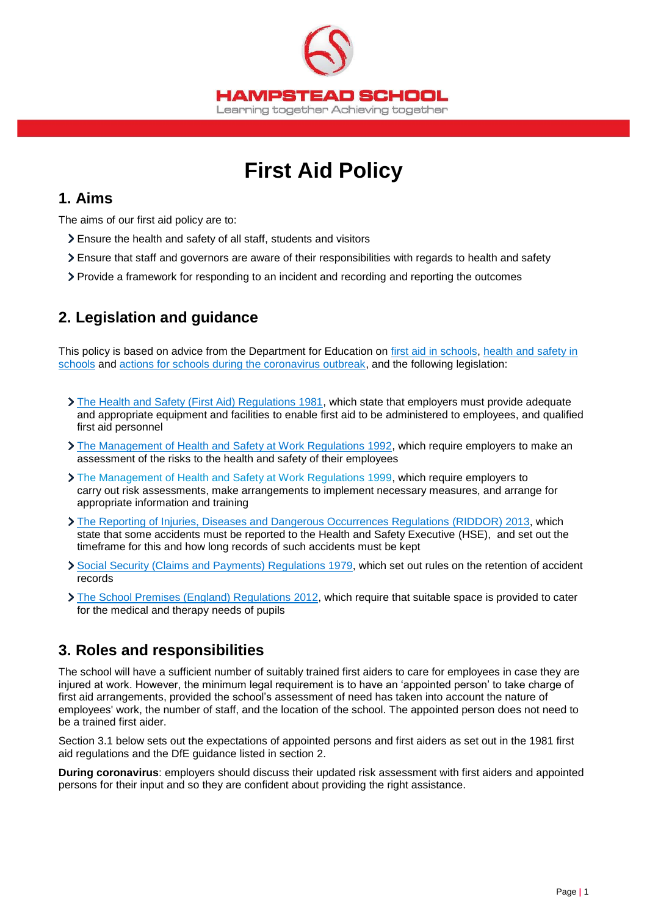

# **First Aid Policy**

### **1. Aims**

The aims of our first aid policy are to:

- Ensure the health and safety of all staff, students and visitors
- Ensure that staff and governors are aware of their responsibilities with regards to health and safety
- Provide a framework for responding to an incident and recording and reporting the outcomes

# **2. Legislation and guidance**

This policy is based on advice from the Department for Education on [first aid in schools,](https://www.gov.uk/government/publications/first-aid-in-schools) [health and safety in](https://www.gov.uk/government/publications/health-and-safety-advice-for-schools)  [schools](https://www.gov.uk/government/publications/health-and-safety-advice-for-schools) and [actions for schools during the coronavirus outbreak,](https://www.gov.uk/government/publications/actions-for-schools-during-the-coronavirus-outbreak) and the following legislation:

- [The Health and Safety \(First Aid\) Regulations 1981,](http://www.legislation.gov.uk/uksi/1981/917/regulation/3/made) which state that employers must provide adequate and appropriate equipment and facilities to enable first aid to be administered to employees, and qualified first aid personnel
- > [The Management of Health and Safety at Work Regulations 1992,](http://www.legislation.gov.uk/uksi/1992/2051/regulation/3/made) which require employers to make an assessment of the risks to the health and safety of their employees
- [The Management of Health and Safety at Work Regulations 1999,](http://www.legislation.gov.uk/uksi/1999/3242/contents/made) which require employers to carry out risk assessments, make arrangements to implement necessary measures, and arrange for appropriate information and training
- [The Reporting of Injuries, Diseases and Dangerous Occurrences Regulations](http://www.legislation.gov.uk/uksi/2013/1471/schedule/1/paragraph/1/made) (RIDDOR) 2013, which state that some accidents must be reported to the Health and Safety Executive (HSE), and set out the timeframe for this and how long records of such accidents must be kept
- [Social Security \(Claims and Payments\) Regulations 1979,](http://www.legislation.gov.uk/uksi/1979/628) which set out rules on the retention of accident records
- > [The School Premises \(England\) Regulations 2012,](http://www.legislation.gov.uk/uksi/2012/1943/regulation/5/made) which require that suitable space is provided to cater for the medical and therapy needs of pupils

# **3. Roles and responsibilities**

The school will have a sufficient number of suitably trained first aiders to care for employees in case they are injured at work. However, the minimum legal requirement is to have an 'appointed person' to take charge of first aid arrangements, provided the school's assessment of need has taken into account the nature of employees' work, the number of staff, and the location of the school. The appointed person does not need to be a trained first aider.

Section 3.1 below sets out the expectations of appointed persons and first aiders as set out in the 1981 first aid regulations and the DfE guidance listed in section 2.

**During coronavirus**: employers should discuss their updated risk assessment with first aiders and appointed persons for their input and so they are confident about providing the right assistance.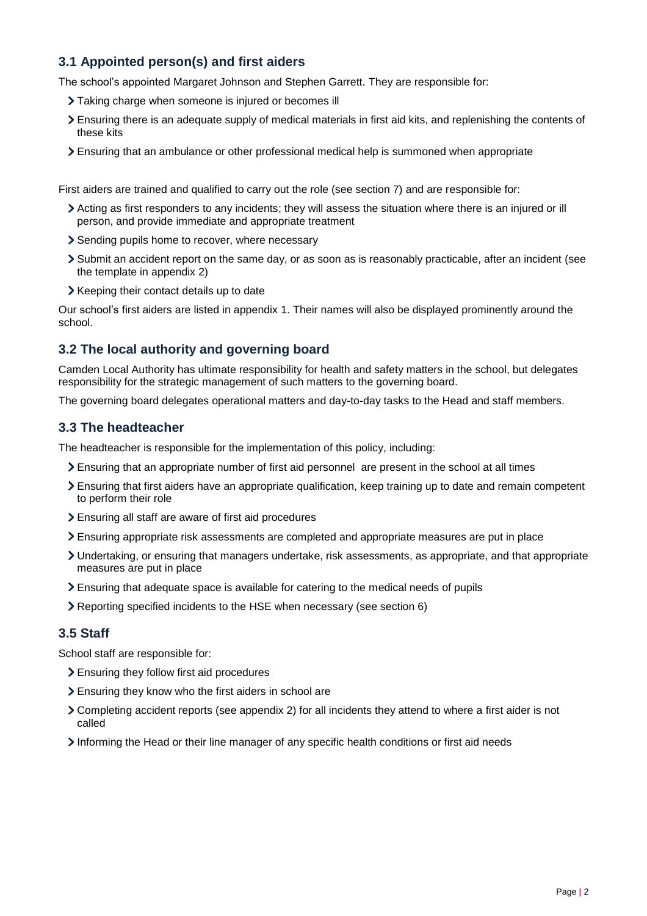### **3.1 Appointed person(s) and first aiders**

The school's appointed Margaret Johnson and Stephen Garrett. They are responsible for:

- Taking charge when someone is injured or becomes ill
- Ensuring there is an adequate supply of medical materials in first aid kits, and replenishing the contents of these kits
- Ensuring that an ambulance or other professional medical help is summoned when appropriate

First aiders are trained and qualified to carry out the role (see section 7) and are responsible for:

- Acting as first responders to any incidents; they will assess the situation where there is an injured or ill person, and provide immediate and appropriate treatment
- > Sending pupils home to recover, where necessary
- Submit an accident report on the same day, or as soon as is reasonably practicable, after an incident (see the template in appendix 2)
- > Keeping their contact details up to date

Our school's first aiders are listed in appendix 1. Their names will also be displayed prominently around the school.

#### **3.2 The local authority and governing board**

Camden Local Authority has ultimate responsibility for health and safety matters in the school, but delegates responsibility for the strategic management of such matters to the governing board.

The governing board delegates operational matters and day-to-day tasks to the Head and staff members.

#### **3.3 The headteacher**

The headteacher is responsible for the implementation of this policy, including:

- Ensuring that an appropriate number of first aid personnel are present in the school at all times
- Ensuring that first aiders have an appropriate qualification, keep training up to date and remain competent to perform their role
- Ensuring all staff are aware of first aid procedures
- Ensuring appropriate risk assessments are completed and appropriate measures are put in place
- Undertaking, or ensuring that managers undertake, risk assessments, as appropriate, and that appropriate measures are put in place
- Ensuring that adequate space is available for catering to the medical needs of pupils
- Reporting specified incidents to the HSE when necessary (see section 6)

#### **3.5 Staff**

School staff are responsible for:

- Ensuring they follow first aid procedures
- Ensuring they know who the first aiders in school are
- Completing accident reports (see appendix 2) for all incidents they attend to where a first aider is not called
- Informing the Head or their line manager of any specific health conditions or first aid needs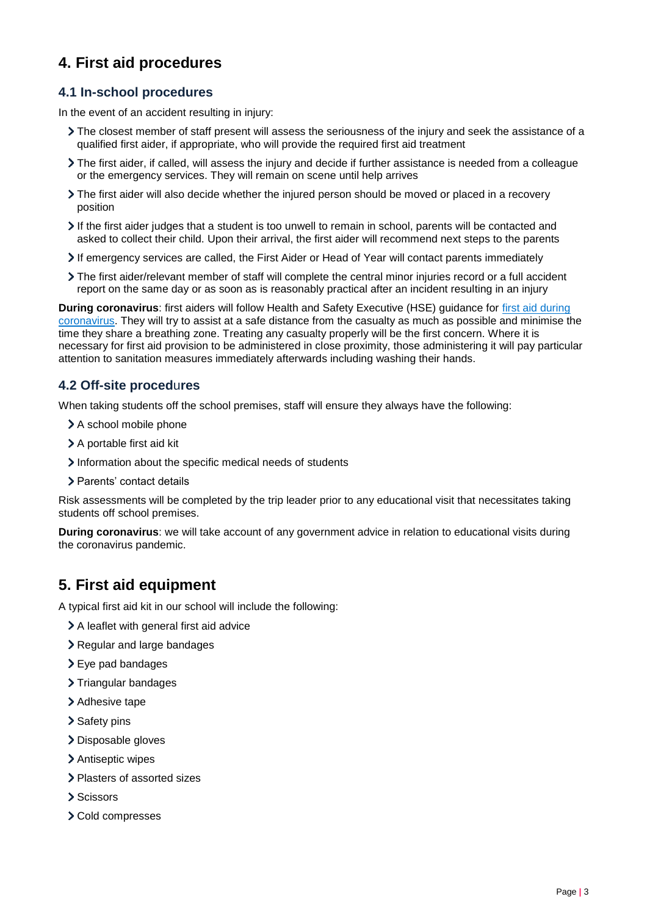# **4. First aid procedures**

#### **4.1 In-school procedures**

In the event of an accident resulting in injury:

- The closest member of staff present will assess the seriousness of the injury and seek the assistance of a qualified first aider, if appropriate, who will provide the required first aid treatment
- The first aider, if called, will assess the injury and decide if further assistance is needed from a colleague or the emergency services. They will remain on scene until help arrives
- The first aider will also decide whether the injured person should be moved or placed in a recovery position
- $\geq$  If the first aider judges that a student is too unwell to remain in school, parents will be contacted and asked to collect their child. Upon their arrival, the first aider will recommend next steps to the parents
- If emergency services are called, the First Aider or Head of Year will contact parents immediately
- The first aider/relevant member of staff will complete the central minor injuries record or a full accident report on the same day or as soon as is reasonably practical after an incident resulting in an injury

**During coronavirus**: first aiders will follow Health and Safety Executive (HSE) guidance for [first aid during](https://www.hse.gov.uk/coronavirus/first-aid-and-medicals/first-aid-certificate-coronavirus.htm)  [coronavirus.](https://www.hse.gov.uk/coronavirus/first-aid-and-medicals/first-aid-certificate-coronavirus.htm) They will try to assist at a safe distance from the casualty as much as possible and minimise the time they share a breathing zone. Treating any casualty properly will be the first concern. Where it is necessary for first aid provision to be administered in close proximity, those administering it will pay particular attention to sanitation measures immediately afterwards including washing their hands.

#### **4.2 Off-site proced**u**res**

When taking students off the school premises, staff will ensure they always have the following:

- > A school mobile phone
- > A portable first aid kit
- Information about the specific medical needs of students
- > Parents' contact details

Risk assessments will be completed by the trip leader prior to any educational visit that necessitates taking students off school premises.

**During coronavirus**: we will take account of any government advice in relation to educational visits during the coronavirus pandemic.

# **5. First aid equipment**

A typical first aid kit in our school will include the following:

- A leaflet with general first aid advice
- > Regular and large bandages
- Eye pad bandages
- > Triangular bandages
- > Adhesive tape
- > Safety pins
- > Disposable gloves
- > Antiseptic wipes
- Plasters of assorted sizes
- > Scissors
- Cold compresses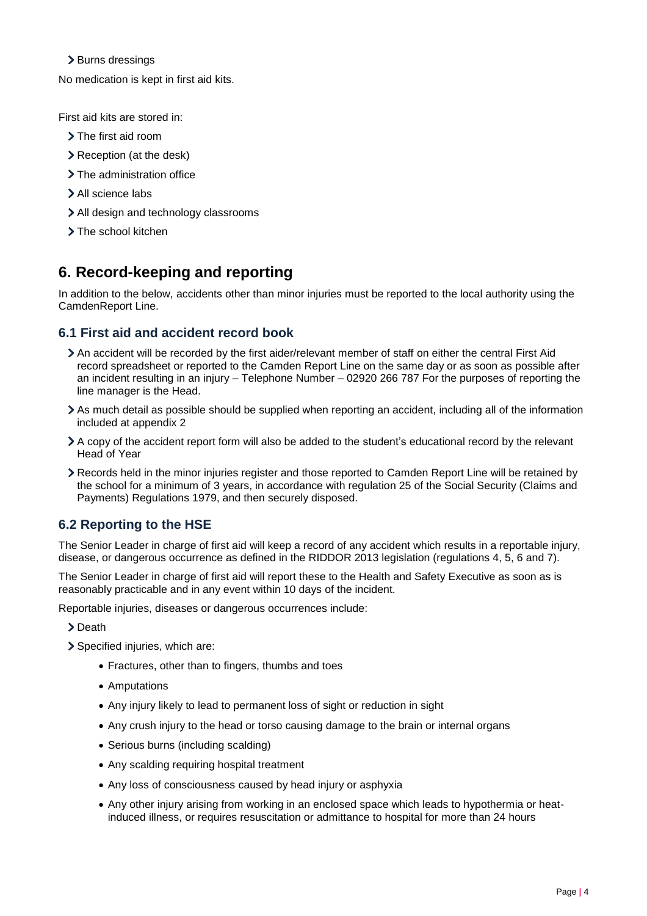#### > Burns dressings

No medication is kept in first aid kits.

First aid kits are stored in:

- > The first aid room
- Reception (at the desk)
- > The administration office
- > All science labs
- > All design and technology classrooms
- > The school kitchen

# **6. Record-keeping and reporting**

In addition to the below, accidents other than minor injuries must be reported to the local authority using the CamdenReport Line.

#### **6.1 First aid and accident record book**

- An accident will be recorded by the first aider/relevant member of staff on either the central First Aid record spreadsheet or reported to the Camden Report Line on the same day or as soon as possible after an incident resulting in an injury – Telephone Number – 02920 266 787 For the purposes of reporting the line manager is the Head.
- As much detail as possible should be supplied when reporting an accident, including all of the information included at appendix 2
- A copy of the accident report form will also be added to the student's educational record by the relevant Head of Year
- Records held in the minor injuries register and those reported to Camden Report Line will be retained by the school for a minimum of 3 years, in accordance with regulation 25 of the Social Security (Claims and Payments) Regulations 1979, and then securely disposed.

### **6.2 Reporting to the HSE**

The Senior Leader in charge of first aid will keep a record of any accident which results in a reportable injury, disease, or dangerous occurrence as defined in the RIDDOR 2013 legislation (regulations 4, 5, 6 and 7).

The Senior Leader in charge of first aid will report these to the Health and Safety Executive as soon as is reasonably practicable and in any event within 10 days of the incident.

Reportable injuries, diseases or dangerous occurrences include:

> Death

- > Specified injuries, which are:
	- Fractures, other than to fingers, thumbs and toes
	- Amputations
	- Any injury likely to lead to permanent loss of sight or reduction in sight
	- Any crush injury to the head or torso causing damage to the brain or internal organs
	- Serious burns (including scalding)
	- Any scalding requiring hospital treatment
	- Any loss of consciousness caused by head injury or asphyxia
	- Any other injury arising from working in an enclosed space which leads to hypothermia or heatinduced illness, or requires resuscitation or admittance to hospital for more than 24 hours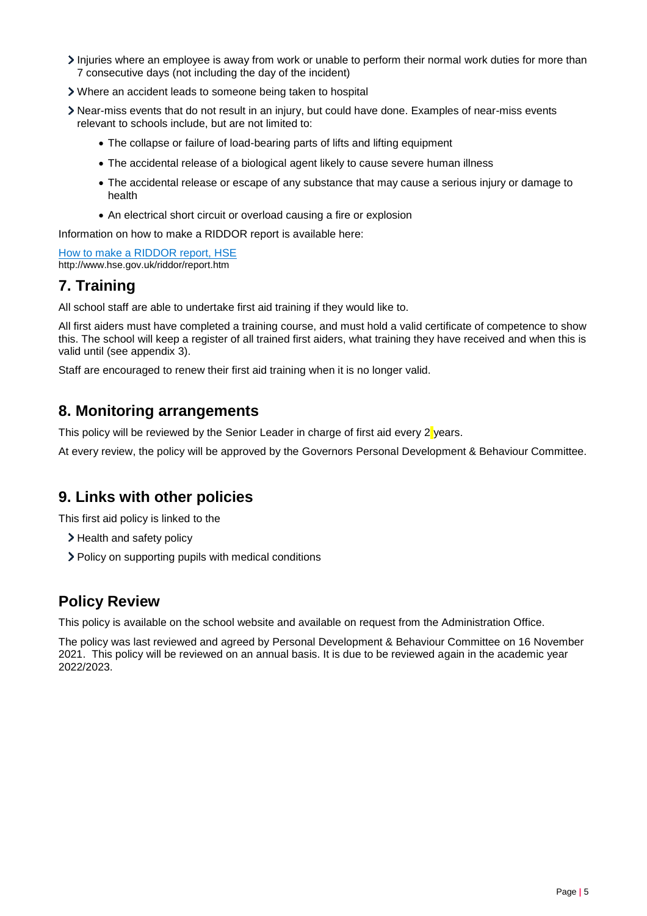- Injuries where an employee is away from work or unable to perform their normal work duties for more than 7 consecutive days (not including the day of the incident)
- Where an accident leads to someone being taken to hospital
- Near-miss events that do not result in an injury, but could have done. Examples of near-miss events relevant to schools include, but are not limited to:
	- The collapse or failure of load-bearing parts of lifts and lifting equipment
	- The accidental release of a biological agent likely to cause severe human illness
	- The accidental release or escape of any substance that may cause a serious injury or damage to health
	- An electrical short circuit or overload causing a fire or explosion

Information on how to make a RIDDOR report is available here:

[How to make a RIDDOR report, HSE](http://www.hse.gov.uk/riddor/report.htm) http://www.hse.gov.uk/riddor/report.htm

### **7. Training**

All school staff are able to undertake first aid training if they would like to.

All first aiders must have completed a training course, and must hold a valid certificate of competence to show this. The school will keep a register of all trained first aiders, what training they have received and when this is valid until (see appendix 3).

Staff are encouraged to renew their first aid training when it is no longer valid.

### **8. Monitoring arrangements**

This policy will be reviewed by the Senior Leader in charge of first aid every  $2\gamma$  years.

At every review, the policy will be approved by the Governors Personal Development & Behaviour Committee.

### **9. Links with other policies**

This first aid policy is linked to the

- > Health and safety policy
- Policy on supporting pupils with medical conditions

### **Policy Review**

This policy is available on the school website and available on request from the Administration Office.

The policy was last reviewed and agreed by Personal Development & Behaviour Committee on 16 November 2021. This policy will be reviewed on an annual basis. It is due to be reviewed again in the academic year 2022/2023.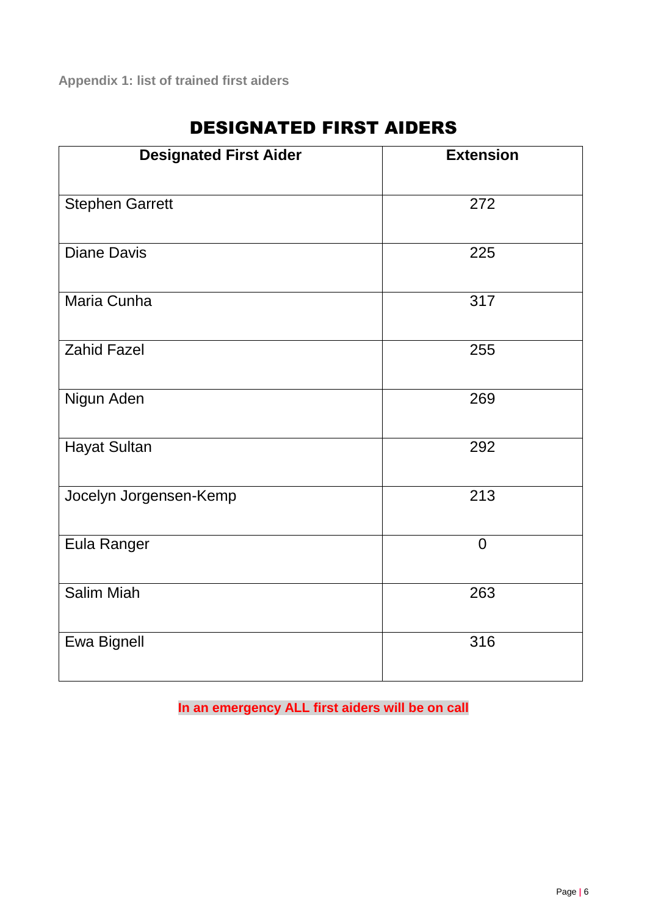| <b>Designated First Aider</b> | <b>Extension</b> |
|-------------------------------|------------------|
| <b>Stephen Garrett</b>        | 272              |
| <b>Diane Davis</b>            | 225              |
| Maria Cunha                   | 317              |
| <b>Zahid Fazel</b>            | 255              |
| Nigun Aden                    | 269              |
| <b>Hayat Sultan</b>           | 292              |
| Jocelyn Jorgensen-Kemp        | 213              |
| Eula Ranger                   | $\overline{0}$   |
| <b>Salim Miah</b>             | 263              |
| Ewa Bignell                   | 316              |

# DESIGNATED FIRST AIDERS

**In an emergency ALL first aiders will be on call**